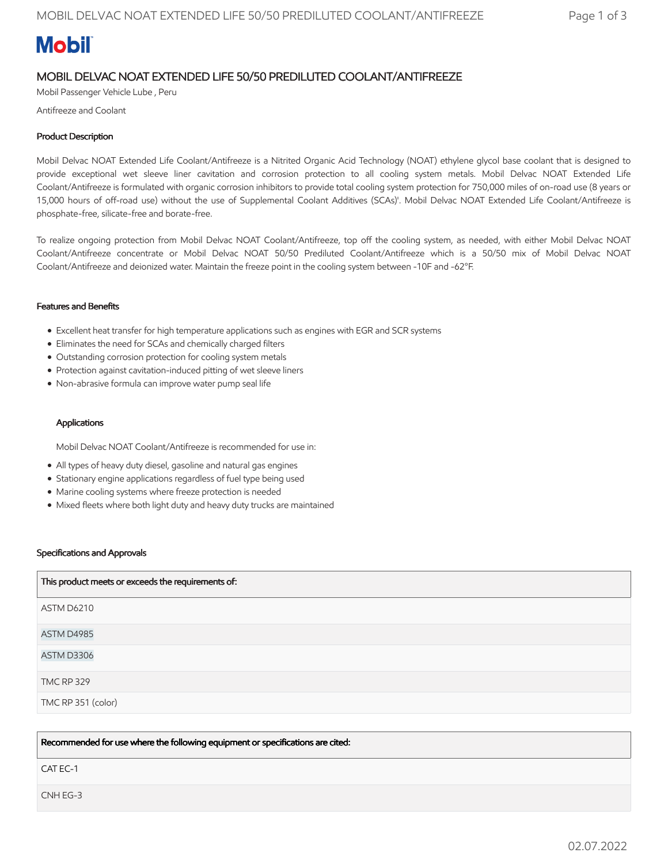# **Mobil**

# MOBIL DELVAC NOAT EXTENDED LIFE 50/50 PREDILUTED COOLANT/ANTIFREEZE

Mobil Passenger Vehicle Lube , Peru

Antifreeze and Coolant

### Product Description

Mobil Delvac NOAT Extended Life Coolant/Antifreeze is a Nitrited Organic Acid Technology (NOAT) ethylene glycol base coolant that is designed to provide exceptional wet sleeve liner cavitation and corrosion protection to all cooling system metals. Mobil Delvac NOAT Extended Life Coolant/Antifreeze is formulated with organic corrosion inhibitors to provide total cooling system protection for 750,000 miles of on-road use (8 years or 15,000 hours of off-road use) without the use of Supplemental Coolant Additives (SCAs)'. Mobil Delvac NOAT Extended Life Coolant/Antifreeze is phosphate-free, silicate-free and borate-free.

To realize ongoing protection from Mobil Delvac NOAT Coolant/Antifreeze, top off the cooling system, as needed, with either Mobil Delvac NOAT Coolant/Antifreeze concentrate or Mobil Delvac NOAT 50/50 Prediluted Coolant/Antifreeze which is a 50/50 mix of Mobil Delvac NOAT Coolant/Antifreeze and deionized water. Maintain the freeze point in the cooling system between -10F and -62°F.

#### Features and Benefits

- Excellent heat transfer for high temperature applications such as engines with EGR and SCR systems
- Eliminates the need for SCAs and chemically charged filters
- Outstanding corrosion protection for cooling system metals
- Protection against cavitation-induced pitting of wet sleeve liners
- Non-abrasive formula can improve water pump seal life

#### **Applications**

Mobil Delvac NOAT Coolant/Antifreeze is recommended for use in:

- All types of heavy duty diesel, gasoline and natural gas engines
- Stationary engine applications regardless of fuel type being used
- Marine cooling systems where freeze protection is needed
- Mixed fleets where both light duty and heavy duty trucks are maintained

#### Specifications and Approvals

| This product meets or exceeds the requirements of: |
|----------------------------------------------------|
| ASTM D6210                                         |
| ASTM D4985                                         |
| ASTM D3306                                         |
| <b>TMC RP 329</b>                                  |
| TMC RP 351 (color)                                 |

Recommended for use where the following equipment or specifications are cited:

CAT EC-1

CNH EG-3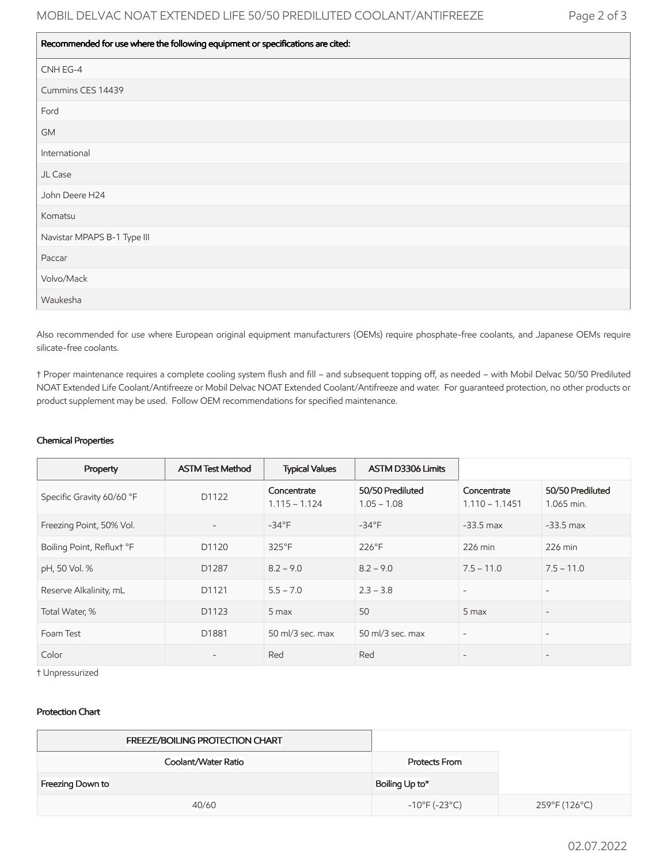#### Recommended for use where the following equipment or specifications are cited:

| - - -<br>__                 |
|-----------------------------|
| CNH EG-4                    |
| Cummins CES 14439           |
| Ford                        |
| GM                          |
| International               |
| JL Case                     |
| John Deere H24              |
| Komatsu                     |
| Navistar MPAPS B-1 Type III |
| Paccar                      |
| Volvo/Mack                  |
| Waukesha                    |

Also recommended for use where European original equipment manufacturers (OEMs) require phosphate-free coolants, and Japanese OEMs require silicate-free coolants.

† Proper maintenance requires a complete cooling system flush and fill – and subsequent topping off, as needed – with Mobil Delvac 50/50 Prediluted NOAT Extended Life Coolant/Antifreeze or Mobil Delvac NOAT Extended Coolant/Antifreeze and water. For guaranteed protection, no other products or product supplement may be used. Follow OEM recommendations for specified maintenance.

#### Chemical Properties

| Property                  | <b>ASTM Test Method</b>  | <b>Typical Values</b>          | <b>ASTM D3306 Limits</b>          |                                 |                                |
|---------------------------|--------------------------|--------------------------------|-----------------------------------|---------------------------------|--------------------------------|
| Specific Gravity 60/60 °F | D1122                    | Concentrate<br>$1.115 - 1.124$ | 50/50 Prediluted<br>$1.05 - 1.08$ | Concentrate<br>$1.110 - 1.1451$ | 50/50 Prediluted<br>1.065 min. |
| Freezing Point, 50% Vol.  | $\overline{\phantom{a}}$ | $-34^{\circ}F$                 | $-34^{\circ}F$                    | $-33.5$ max                     | $-33.5$ max                    |
| Boiling Point, Refluxt °F | D1120                    | 325°F                          | 226°F                             | 226 min                         | $226$ min                      |
| pH, 50 Vol. %             | D1287                    | $8.2 - 9.0$                    | $8.2 - 9.0$                       | $7.5 - 11.0$                    | $7.5 - 11.0$                   |
| Reserve Alkalinity, mL    | D1121                    | $5.5 - 7.0$                    | $2.3 - 3.8$                       | $\overline{\phantom{a}}$        | $\overline{\phantom{0}}$       |
| Total Water, %            | D1123                    | 5 max                          | 50                                | 5 max                           |                                |
| Foam Test                 | D1881                    | 50 $ml/3$ sec. max             | 50 ml/3 sec. max                  | $\overline{\phantom{a}}$        | $\overline{\phantom{a}}$       |
| Color                     | $\qquad \qquad -$        | Red                            | Red                               |                                 | $\qquad \qquad$                |

† Unpressurized

#### Protection Chart

| FREEZE/BOILING PROTECTION CHART |                                    |               |
|---------------------------------|------------------------------------|---------------|
| Coolant/Water Ratio             | Protects From                      |               |
| Freezing Down to                | Boiling Up to*                     |               |
| 40/60                           | $-10^{\circ}$ F (-23 $^{\circ}$ C) | 259°F (126°C) |